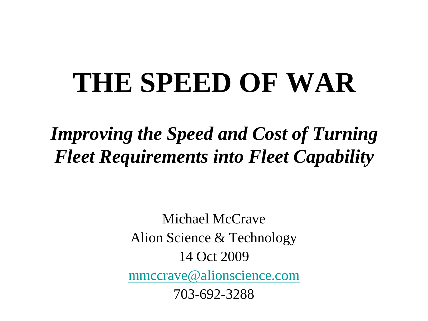# **THE SPEED OF WAR**

*Improving the Speed and Cost of Turning Fleet Requirements into Fleet Capability*

> Michael McCrave Alion Science & Technology 14 Oct 2009 [mmccrave@alionscience.com](mailto:mmccrave@alionscience.com) 703-692-3288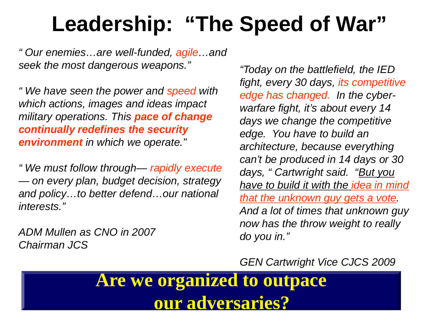# **Leadership: "The Speed of War"**

*" Our enemies…are well-funded, agile…and seek the most dangerous weapons."*

*" We have seen the power and speed with which actions, images and ideas impact military operations. This pace of change continually redefines the security environment in which we operate."*

*" We must follow through— rapidly execute — on every plan, budget decision, strategy and policy…to better defend…our national interests."*

*ADM Mullen as CNO in 2007 Chairman JCS*

*"Today on the battlefield, the IED fight, every 30 days, its competitive edge has changed. In the cyberwarfare fight, it's about every 14 days we change the competitive edge. You have to build an architecture, because everything can't be produced in 14 days or 30 days, " Cartwright said. "But you have to build it with the idea in mind that the unknown guy gets a vote. And a lot of times that unknown guy now has the throw weight to really do you in."*

*GEN Cartwright Vice CJCS 2009*

**Are we organized to outpace our adversaries?**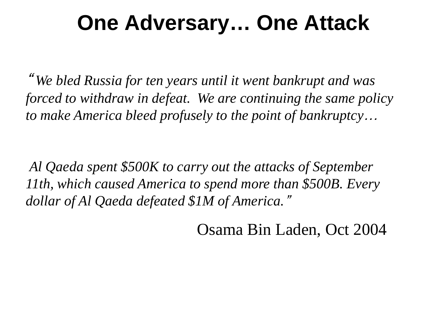## **One Adversary… One Attack**

" *We bled Russia for ten years until it went bankrupt and was forced to withdraw in defeat. We are continuing the same policy to make America bleed profusely to the point of bankruptcy*…

*Al Qaeda spent \$500K to carry out the attacks of September 11th, which caused America to spend more than \$500B. Every dollar of Al Qaeda defeated \$1M of America.*"

Osama Bin Laden, Oct 2004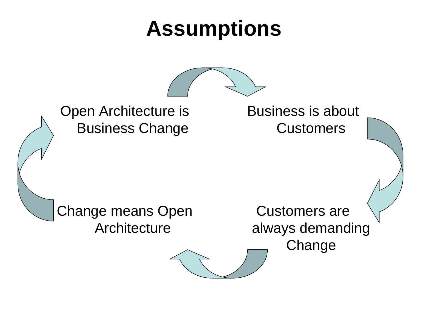## **Assumptions**



Open Architecture is Business Change

Business is about **Customers** 

Change means Open **Architecture** 

Customers are always demanding **Change**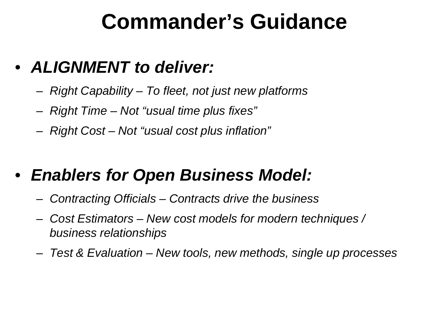### **Commander's Guidance**

### • *ALIGNMENT to deliver:*

- *Right Capability – To fleet, not just new platforms*
- *Right Time – Not "usual time plus fixes"*
- *Right Cost – Not "usual cost plus inflation"*

### • *Enablers for Open Business Model:*

- *Contracting Officials – Contracts drive the business*
- *Cost Estimators – New cost models for modern techniques / business relationships*
- *Test & Evaluation – New tools, new methods, single up processes*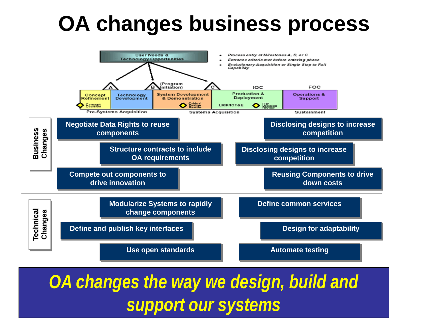# **OA changes business process**



*OA changes the way we design, build and support our systems*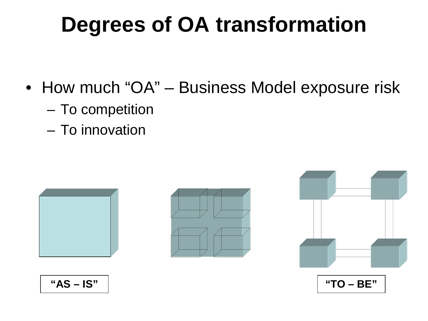# **Degrees of OA transformation**

- How much "OA" Business Model exposure risk
	- To competition
	- To innovation







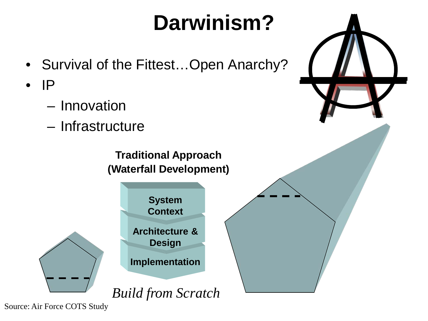# **Darwinism?**

- Survival of the Fittest…Open Anarchy?
- $\bullet$  IP
	- Innovation
	- Infrastructure



Source: Air Force COTS Study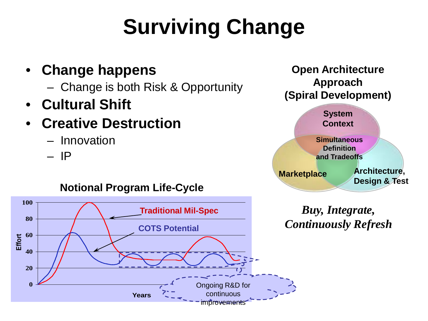# **Surviving Change**

#### • **Change happens**

- Change is both Risk & Opportunity
- **Cultural Shift**

### • **Creative Destruction**

- Innovation
- IP



#### **Notional Program Life-Cycle**



*Buy, Integrate, Continuously Refresh*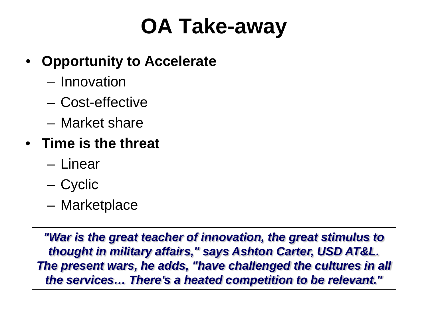# **OA Take-away**

#### • **Opportunity to Accelerate**

- Innovation
- Cost-effective
- Market share
- **Time is the threat**
	- Linear
	- Cyclic
	- Marketplace

*"War is the great teacher of innovation, the great stimulus to thought in military affairs," says Ashton Carter, USD AT&L. The present wars, he adds, "have challenged the cultures in all the services… There's a heated competition to be relevant."*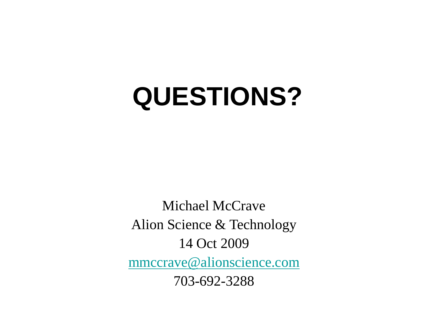# **QUESTIONS?**

Michael McCrave Alion Science & Technology 14 Oct 2009 [mmccrave@alionscience.com](mailto:mmccrave@alionscience.com) 703-692-3288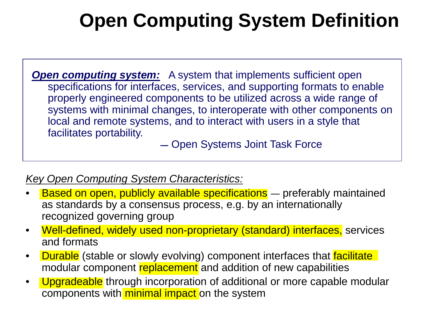### **Open Computing System Definition**

*Open computing system:* A system that implements sufficient open specifications for interfaces, services, and supporting formats to enable properly engineered components to be utilized across a wide range of systems with minimal changes, to interoperate with other components on local and remote systems, and to interact with users in a style that facilitates portability.

**―** Open Systems Joint Task Force

#### *Key Open Computing System Characteristics:*

- Based on open, publicly available specifications ― preferably maintained as standards by a consensus process, e.g. by an internationally recognized governing group
- Well-defined, widely used non-proprietary (standard) interfaces, services and formats
- **Durable** (stable or slowly evolving) component interfaces that **facilitate** modular component replacement and addition of new capabilities
- Upgradeable through incorporation of additional or more capable modular components with minimal impact on the system